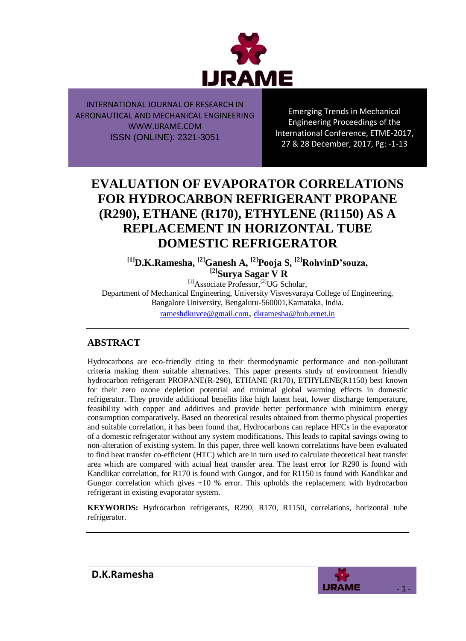

Emerging Trends in Mechanical Engineering Proceedings of the International Conference, ETME-2017, 27 & 28 December, 2017, Pg: -1-13

# **EVALUATION OF EVAPORATOR CORRELATIONS FOR HYDROCARBON REFRIGERANT PROPANE (R290), ETHANE (R170), ETHYLENE (R1150) AS A REPLACEMENT IN HORIZONTAL TUBE DOMESTIC REFRIGERATOR**

**[1]D.K.Ramesha, [2]Ganesh A, [2]Pooja S, [2]RohvinD'souza, [2]Surya Sagar V R**

 $[1]$ Associate Professor,<sup>[2]</sup>UG Scholar, Department of Mechanical Engineering, University Visvesvaraya College of Engineering, Bangalore University, Bengaluru-560001,Karnataka, India. [rameshdkuvce@gmail.com](mailto:rameshdkuvce@gmail.com), dkramesha@bub.ernet.in

# **ABSTRACT**

Hydrocarbons are eco-friendly citing to their thermodynamic performance and non-pollutant criteria making them suitable alternatives. This paper presents study of environment friendly hydrocarbon refrigerant PROPANE(R-290), ETHANE (R170), ETHYLENE(R1150) best known for their zero ozone depletion potential and minimal global warming effects in domestic refrigerator. They provide additional benefits like high latent heat, lower discharge temperature, feasibility with copper and additives and provide better performance with minimum energy consumption comparatively. Based on theoretical results obtained from thermo physical properties and suitable correlation, it has been found that, Hydrocarbons can replace HFCs in the evaporator of a domestic refrigerator without any system modifications. This leads to capital savings owing to non-alteration of existing system. In this paper, three well known correlations have been evaluated to find heat transfer co-efficient (HTC) which are in turn used to calculate theoretical heat transfer area which are compared with actual heat transfer area. The least error for R290 is found with Kandlikar correlation, for R170 is found with Gungor, and for R1150 is found with Kandlikar and Gungor correlation which gives  $+10\%$  error. This upholds the replacement with hydrocarbon refrigerant in existing evaporator system.

**KEYWORDS:** Hydrocarbon refrigerants, R290, R170, R1150, correlations, horizontal tube refrigerator.

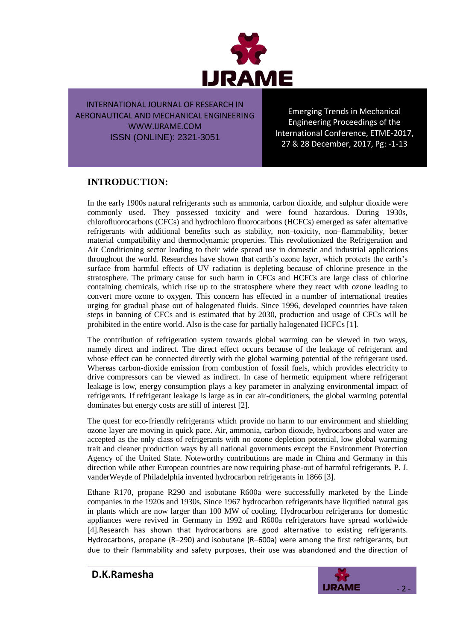

Emerging Trends in Mechanical Engineering Proceedings of the International Conference, ETME-2017, 27 & 28 December, 2017, Pg: -1-13

# **INTRODUCTION:**

In the early 1900s natural refrigerants such as ammonia, carbon dioxide, and sulphur dioxide were commonly used. They possessed toxicity and were found hazardous. During 1930s, chlorofluorocarbons (CFCs) and hydrochloro fluorocarbons (HCFCs) emerged as safer alternative refrigerants with additional benefits such as stability, non–toxicity, non–flammability, better material compatibility and thermodynamic properties. This revolutionized the Refrigeration and Air Conditioning sector leading to their wide spread use in domestic and industrial applications throughout the world. Researches have shown that earth"s ozone layer, which protects the earth"s surface from harmful effects of UV radiation is depleting because of chlorine presence in the stratosphere. The primary cause for such harm in CFCs and HCFCs are large class of chlorine containing chemicals, which rise up to the stratosphere where they react with ozone leading to convert more ozone to oxygen. This concern has effected in a number of international treaties urging for gradual phase out of halogenated fluids. Since 1996, developed countries have taken steps in banning of CFCs and is estimated that by 2030, production and usage of CFCs will be prohibited in the entire world. Also is the case for partially halogenated HCFCs [1].

The contribution of refrigeration system towards global warming can be viewed in two ways, namely direct and indirect. The direct effect occurs because of the leakage of refrigerant and whose effect can be connected directly with the global warming potential of the refrigerant used. Whereas carbon-dioxide emission from combustion of fossil fuels, which provides electricity to drive compressors can be viewed as indirect. In case of hermetic equipment where refrigerant leakage is low, energy consumption plays a key parameter in analyzing environmental impact of refrigerants. If refrigerant leakage is large as in car air-conditioners, the global warming potential dominates but energy costs are still of interest [2].

The quest for eco-friendly refrigerants which provide no harm to our environment and shielding ozone layer are moving in quick pace. Air, ammonia, carbon dioxide, hydrocarbons and water are accepted as the only class of refrigerants with no ozone depletion potential, low global warming trait and cleaner production ways by all national governments except the Environment Protection Agency of the United State. Noteworthy contributions are made in China and Germany in this direction while other European countries are now requiring phase-out of harmful refrigerants. P. J. vanderWeyde of Philadelphia invented hydrocarbon refrigerants in 1866 [3].

Ethane R170, propane R290 and isobutane R600a were successfully marketed by the Linde companies in the 1920s and 1930s. Since 1967 hydrocarbon refrigerants have liquified natural gas in plants which are now larger than 100 MW of cooling. Hydrocarbon refrigerants for domestic appliances were revived in Germany in 1992 and R600a refrigerators have spread worldwide [4].Research has shown that hydrocarbons are good alternative to existing refrigerants. Hydrocarbons, propane (R–290) and isobutane (R–600a) were among the first refrigerants, but due to their flammability and safety purposes, their use was abandoned and the direction of

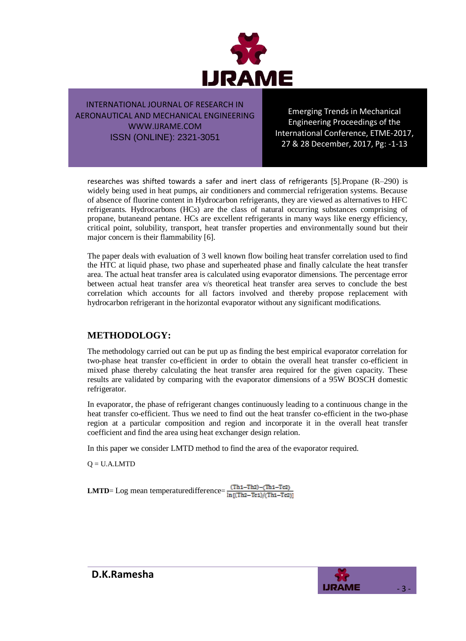

Emerging Trends in Mechanical Engineering Proceedings of the International Conference, ETME-2017, 27 & 28 December, 2017, Pg: -1-13

researches was shifted towards a safer and inert class of refrigerants [5].Propane (R–290) is widely being used in heat pumps, air conditioners and commercial refrigeration systems. Because of absence of fluorine content in Hydrocarbon refrigerants, they are viewed as alternatives to HFC refrigerants. Hydrocarbons (HCs) are the class of natural occurring substances comprising of propane, butaneand pentane. HCs are excellent refrigerants in many ways like energy efficiency, critical point, solubility, transport, heat transfer properties and environmentally sound but their major concern is their flammability [6].

The paper deals with evaluation of 3 well known flow boiling heat transfer correlation used to find the HTC at liquid phase, two phase and superheated phase and finally calculate the heat transfer area. The actual heat transfer area is calculated using evaporator dimensions. The percentage error between actual heat transfer area v/s theoretical heat transfer area serves to conclude the best correlation which accounts for all factors involved and thereby propose replacement with hydrocarbon refrigerant in the horizontal evaporator without any significant modifications.

## **METHODOLOGY:**

The methodology carried out can be put up as finding the best empirical evaporator correlation for two-phase heat transfer co-efficient in order to obtain the overall heat transfer co-efficient in mixed phase thereby calculating the heat transfer area required for the given capacity. These results are validated by comparing with the evaporator dimensions of a 95W BOSCH domestic refrigerator.

In evaporator, the phase of refrigerant changes continuously leading to a continuous change in the heat transfer co-efficient. Thus we need to find out the heat transfer co-efficient in the two-phase region at a particular composition and region and incorporate it in the overall heat transfer coefficient and find the area using heat exchanger design relation.

In this paper we consider LMTD method to find the area of the evaporator required.

 $Q = U.A.LMTD$ 

**LMTD**= Log mean temperaturedifference= $\frac{(Th1 - Th2) - (Th1 - Te2)}{\ln[(Th2 - Te1)/(Th1 - Te2)]}$ 

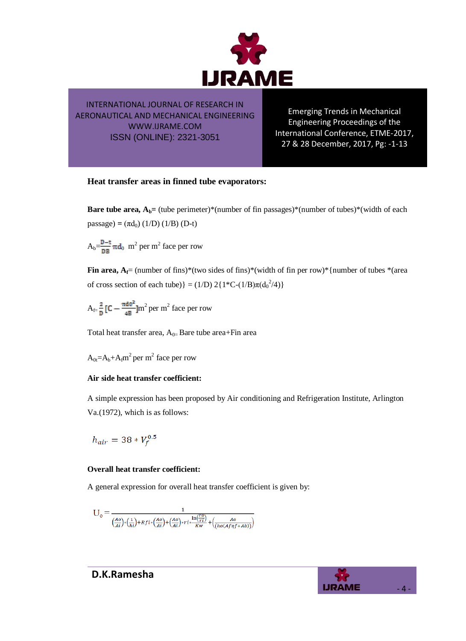

Emerging Trends in Mechanical Engineering Proceedings of the International Conference, ETME-2017, 27 & 28 December, 2017, Pg: -1-13

#### **Heat transfer areas in finned tube evaporators:**

**Bare tube area,**  $A_b$  **= (tube perimeter)\*(number of fin passages)\*(number of tubes)\*(width of each**  $passage) = (\pi d_0) (1/D) (1/B) (D-t)$ 

 $A_b = \frac{D-t}{\rho R} \pi d_0$  m<sup>2</sup> per m<sup>2</sup> face per row

**Fin area,**  $A_f$ **= (number of fins)\*(two sides of fins)\*(width of fin per row)\*{number of tubes \*(area** of cross section of each tube)} = (1/D)  $2{1*C-(1/B)\pi(d_0^2/4)}$ 

 $A_{f=\frac{2}{n}}$  [C –  $\frac{\pi a \sigma}{aB}$ ]m<sup>2</sup> per m<sup>2</sup> face per row

Total heat transfer area,  $A_{0=}$  Bare tube area+Fin area

 $A_{0t} = A_b + A_f m^2$  per m<sup>2</sup> face per row

#### **Air side heat transfer coefficient:**

A simple expression has been proposed by Air conditioning and Refrigeration Institute, Arlington Va.(1972), which is as follows:

$$
h_{air} = 38 \times V_f^{0.5}
$$

#### **Overall heat transfer coefficient:**

A general expression for overall heat transfer coefficient is given by:

$$
U_o = \frac{1}{\left(\frac{Ao}{Ai}\right) * \left(\frac{1}{hi}\right) + Rfi * \left(\frac{Ao}{Ai}\right) + \left(\frac{Ao}{Ai}\right) * ri * \frac{\ln\left(\frac{TO}{TI}\right)}{KW} + \left(\frac{Ao}{(ho(Af\eta f + Ab))}\right)}
$$

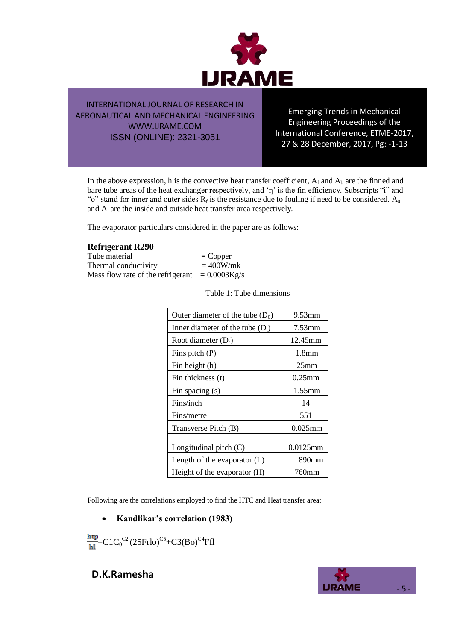

Emerging Trends in Mechanical Engineering Proceedings of the International Conference, ETME-2017, 27 & 28 December, 2017, Pg: -1-13

In the above expression, h is the convective heat transfer coefficient,  $A_f$  and  $A_b$  are the finned and bare tube areas of the heat exchanger respectively, and  $\eta'$  is the fin efficiency. Subscripts "i" and "o" stand for inner and outer sides  $R_f$  is the resistance due to fouling if need to be considered.  $A_0$ and A<sup>i</sup> are the inside and outside heat transfer area respectively.

The evaporator particulars considered in the paper are as follows:

#### **Refrigerant R290**

Tube material  $=$  Copper Thermal conductivity  $= 400W/mk$ Mass flow rate of the refrigerant  $= 0.0003 \text{Kg/s}$ 

Table 1: Tube dimensions

| Outer diameter of the tube $(D_0)$ | $9.53$ mm         |
|------------------------------------|-------------------|
| Inner diameter of the tube $(D_i)$ | 7.53mm            |
| Root diameter $(D_r)$              | 12.45mm           |
| Fins pitch $(P)$                   | 1.8 <sub>mm</sub> |
| Fin height (h)                     | 25 <sub>mm</sub>  |
| Fin thickness (t)                  | $0.25$ mm         |
| Fin spacing (s)                    | $1.55$ mm         |
| Fins/inch                          | 14                |
| Fins/metre                         | 551               |
| Transverse Pitch (B)               | $0.025$ mm        |
| Longitudinal pitch (C)             | $0.0125$ mm       |
| Length of the evaporator $(L)$     | 890 <sub>mm</sub> |
| Height of the evaporator (H)       | 760mm             |

Following are the correlations employed to find the HTC and Heat transfer area:

#### **Kandlikar's correlation (1983)**

 $=\text{C1C}_0^{\text{C2}}(\text{25Frlo})^{\text{C5}}$ +C3(Bo)<sup>C4</sup>Ffl

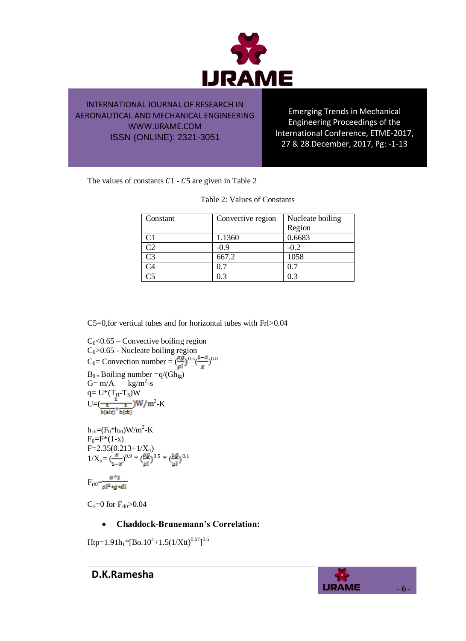

Emerging Trends in Mechanical Engineering Proceedings of the International Conference, ETME-2017, 27 & 28 December, 2017, Pg: -1-13

The values of constants  $C1 - C5$  are given in Table 2

| Constant       | Convective region | Nucleate boiling |
|----------------|-------------------|------------------|
|                |                   | Region           |
|                | 1.1360            | 0.6683           |
| C2             | $-0.9$            | $-0.2$           |
| C <sub>3</sub> | 667.2             | 1058             |
| `4             | 05                | 0.7              |
|                | 0.3               | 0.3              |

Table 2: Values of Constants

C5=0,for vertical tubes and for horizontal tubes with Frl>0.04

C<sub>0</sub><0.65 – Convective boiling region  
C<sub>0</sub>>0.65 – Nucleate boiling region  
C<sub>0</sub>= Convection number = 
$$
(\frac{\rho g}{\rho l})^{0.5}(\frac{1-x}{x})^{0.8}
$$
  
B<sub>0</sub> = Boiling number =q/(Gh<sub>fg</sub>)  
G= m/A<sub>i</sub> kg/m<sup>2</sup>-s  
q= U\*(T<sub>H</sub>-T<sub>S</sub>)W  
U=( $\frac{1}{\frac{1}{h(\text{air})} + \frac{1}{h(\text{cb})}}$ W/m<sup>2</sup>-K  
h<sub>cb</sub>= (F<sub>0</sub>\*h<sub>10</sub>)W/m<sup>2</sup>-K  
F<sub>0</sub>=F\*(1-x)  
F=2.35(0.213+1/X<sub>tt</sub>)  
 $1/X_{tt} = (\frac{x}{1-x})^{0.9} * (\frac{\rho g}{\rho l})^{0.5} * (\frac{\mu g}{\mu l})^{0.1}$   
F<sub>10</sub>= $\frac{G^{A}2}{\rho l^2 * g * d\bar{l}}$ 

 $C_5 = 0$  for  $F_{r10} > 0.04$ 

### **Chaddock-Brunemann's Correlation:**

Htp=1.91h<sub>1</sub>\*[Bo.10<sup>4</sup>+1.5(1/Xtt)<sup>0.67</sup>]<sup>0.6</sup>

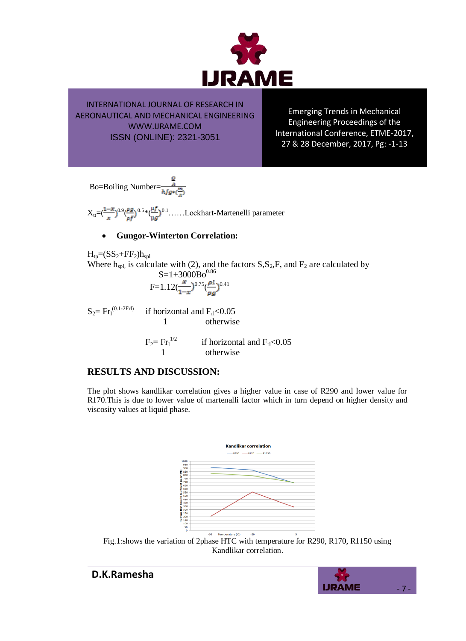

Emerging Trends in Mechanical Engineering Proceedings of the International Conference, ETME-2017, 27 & 28 December, 2017, Pg: -1-13

Bo=Boiling Number=

 $X_{tt} = (\frac{1-x}{n})^{0.9} (\frac{\rho g}{n})^{0.5} * (\frac{\mu f}{n})^{0.1}$ ......Lockhart-Martenelli parameter

#### **Gungor-Winterton Correlation:**

 $H_{tp}=(SS_2+FF_2)h_{spl}$ Where  $h_{spl}$ , is calculate with (2), and the factors  $S, S_2, F$ , and  $F_2$  are calculated by  $S=1+3000Bo^{0.86}$  $F=1.12(\frac{x}{\epsilon})^{0.75}(\frac{\rho l}{\epsilon})^{0.41}$  $\mathrm{S}_2\!\!=\mathrm{Fr}_\mathrm{l}^{(0.1\text{-}2\mathrm{Frl})}$ if horizontal and  $F_{rl}$  < 0.05 1 otherwise

 $F_2= Fr_1^{1/2}$ if horizontal and  $F_{rl}$ <0.05 1 otherwise

## **RESULTS AND DISCUSSION:**

The plot shows kandlikar correlation gives a higher value in case of R290 and lower value for R170.This is due to lower value of martenalli factor which in turn depend on higher density and viscosity values at liquid phase.



Fig.1:shows the variation of 2phase HTC with temperature for R290, R170, R1150 using Kandlikar correlation.

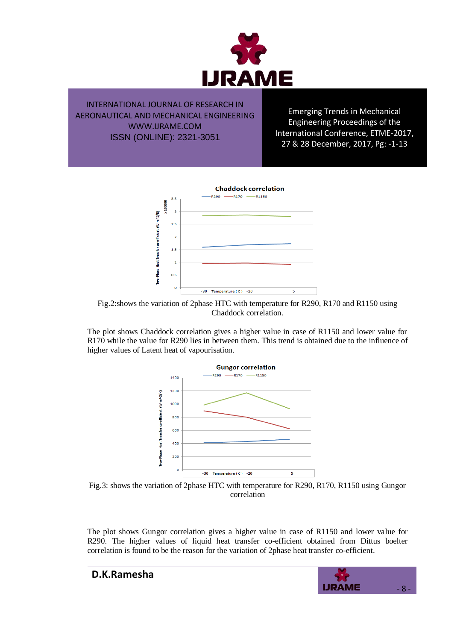

Emerging Trends in Mechanical Engineering Proceedings of the International Conference, ETME-2017, 27 & 28 December, 2017, Pg: -1-13



Fig.2:shows the variation of 2phase HTC with temperature for R290, R170 and R1150 using Chaddock correlation.

The plot shows Chaddock correlation gives a higher value in case of R1150 and lower value for R170 while the value for R290 lies in between them. This trend is obtained due to the influence of higher values of Latent heat of vapourisation.



Fig.3: shows the variation of 2phase HTC with temperature for R290, R170, R1150 using Gungor correlation

The plot shows Gungor correlation gives a higher value in case of R1150 and lower value for R290. The higher values of liquid heat transfer co-efficient obtained from Dittus boelter correlation is found to be the reason for the variation of 2phase heat transfer co-efficient.

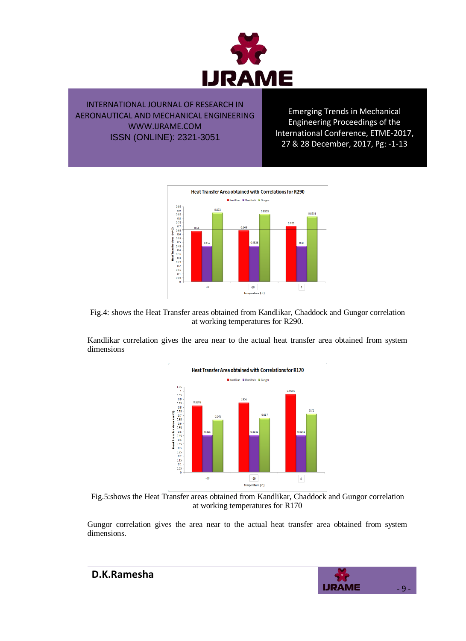

Emerging Trends in Mechanical Engineering Proceedings of the International Conference, ETME-2017, 27 & 28 December, 2017, Pg: -1-13





Kandlikar correlation gives the area near to the actual heat transfer area obtained from system dimensions



Fig.5:shows the Heat Transfer areas obtained from Kandlikar, Chaddock and Gungor correlation at working temperatures for R170

Gungor correlation gives the area near to the actual heat transfer area obtained from system dimensions.

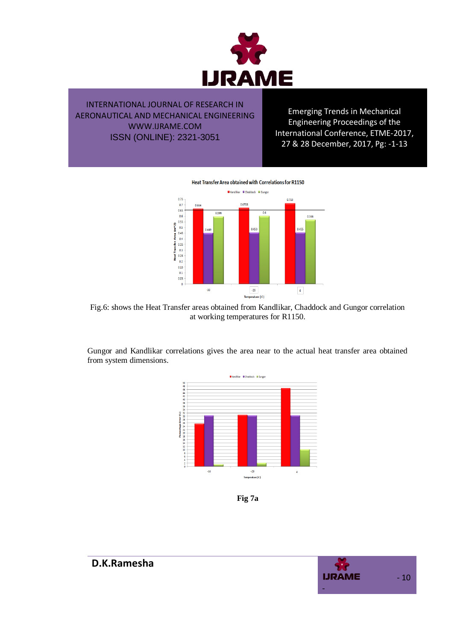

Emerging Trends in Mechanical Engineering Proceedings of the International Conference, ETME-2017, 27 & 28 December, 2017, Pg: -1-13

Heat Transfer Area obtained with Correlations for R1150



Fig.6: shows the Heat Transfer areas obtained from Kandlikar, Chaddock and Gungor correlation at working temperatures for R1150.

Gungor and Kandlikar correlations gives the area near to the actual heat transfer area obtained from system dimensions.



**Fig 7a**

![](_page_9_Picture_9.jpeg)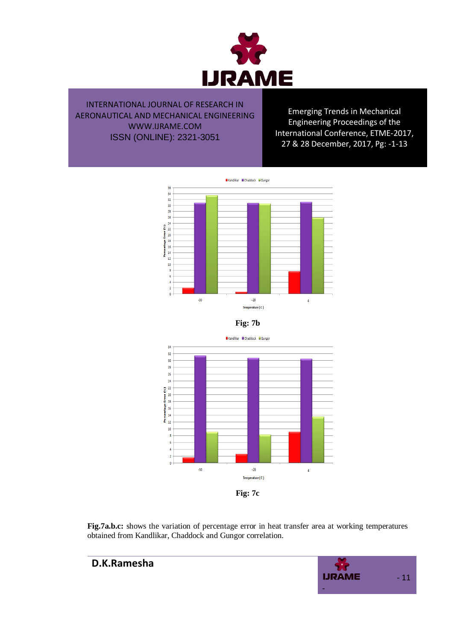![](_page_10_Picture_0.jpeg)

Emerging Trends in Mechanical Engineering Proceedings of the International Conference, ETME-2017, 27 & 28 December, 2017, Pg: -1-13

![](_page_10_Figure_3.jpeg)

![](_page_10_Figure_4.jpeg)

![](_page_10_Figure_5.jpeg)

![](_page_10_Figure_6.jpeg)

**Fig.7a.b.c:** shows the variation of percentage error in heat transfer area at working temperatures obtained from Kandlikar, Chaddock and Gungor correlation.

![](_page_10_Picture_8.jpeg)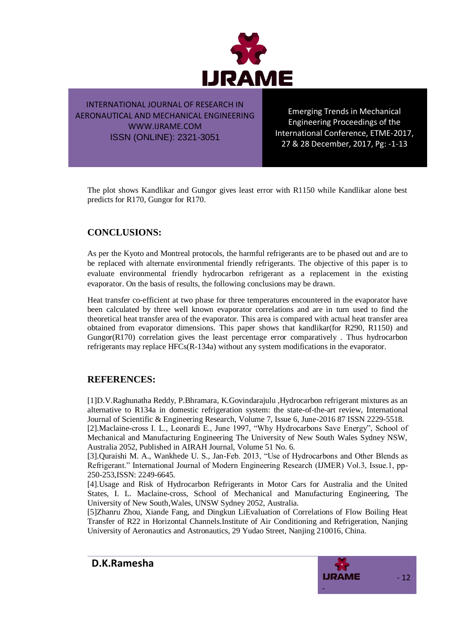![](_page_11_Picture_0.jpeg)

Emerging Trends in Mechanical Engineering Proceedings of the International Conference, ETME-2017, 27 & 28 December, 2017, Pg: -1-13

The plot shows Kandlikar and Gungor gives least error with R1150 while Kandlikar alone best predicts for R170, Gungor for R170.

### **CONCLUSIONS:**

As per the Kyoto and Montreal protocols, the harmful refrigerants are to be phased out and are to be replaced with alternate environmental friendly refrigerants. The objective of this paper is to evaluate environmental friendly hydrocarbon refrigerant as a replacement in the existing evaporator. On the basis of results, the following conclusions may be drawn.

Heat transfer co-efficient at two phase for three temperatures encountered in the evaporator have been calculated by three well known evaporator correlations and are in turn used to find the theoretical heat transfer area of the evaporator. This area is compared with actual heat transfer area obtained from evaporator dimensions. This paper shows that kandlikar(for R290, R1150) and Gungor(R170) correlation gives the least percentage error comparatively . Thus hydrocarbon refrigerants may replace HFCs(R-134a) without any system modifications in the evaporator.

### **REFERENCES:**

[1]D.V.Raghunatha Reddy, P.Bhramara, K.Govindarajulu ,Hydrocarbon refrigerant mixtures as an alternative to R134a in domestic refrigeration system: the state-of-the-art review, International Journal of Scientific & Engineering Research, Volume 7, Issue 6, June-2016 87 ISSN 2229-5518. [2].Maclaine-cross I. L., Leonardi E., June 1997, "Why Hydrocarbons Save Energy", School of Mechanical and Manufacturing Engineering The University of New South Wales Sydney NSW, Australia 2052, Published in AIRAH Journal, Volume 51 No. 6.

[3].Quraishi M. A., Wankhede U. S., Jan-Feb. 2013, "Use of Hydrocarbons and Other Blends as Refrigerant." International Journal of Modern Engineering Research (IJMER) Vol.3, Issue.1, pp-250-253,ISSN: 2249-6645.

[4].Usage and Risk of Hydrocarbon Refrigerants in Motor Cars for Australia and the United States, I. L. Maclaine-cross, School of Mechanical and Manufacturing Engineering, The University of New South,Wales, UNSW Sydney 2052, Australia.

[5]Zhanru Zhou, Xiande Fang, and Dingkun LiEvaluation of Correlations of Flow Boiling Heat Transfer of R22 in Horizontal Channels.Institute of Air Conditioning and Refrigeration, Nanjing University of Aeronautics and Astronautics, 29 Yudao Street, Nanjing 210016, China.

![](_page_11_Picture_13.jpeg)